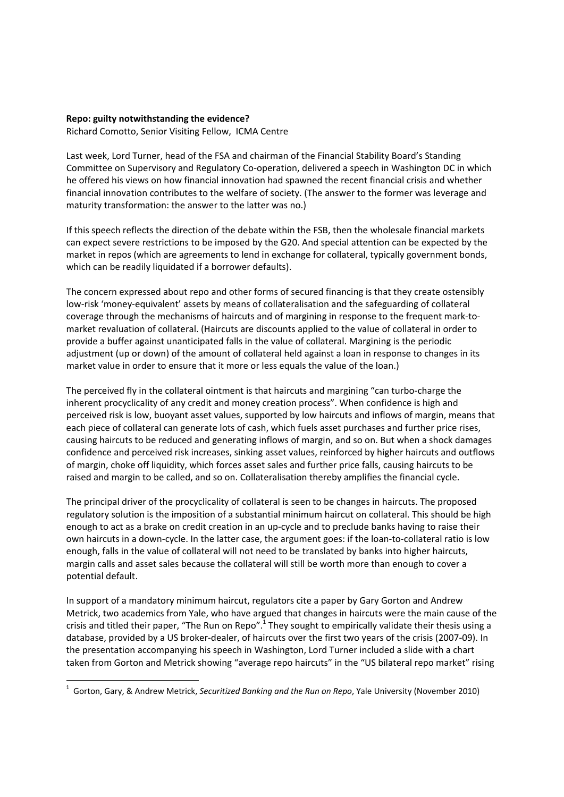## **Repo: guilty notwithstanding the evidence?**

Richard Comotto, Senior Visiting Fellow, ICMA Centre

Last week, Lord Turner, head of the FSA and chairman of the Financial Stability Board's Standing Committee on Supervisory and Regulatory Co‐operation, delivered a speech in Washington DC in which he offered his views on how financial innovation had spawned the recent financial crisis and whether financial innovation contributes to the welfare of society. (The answer to the former was leverage and maturity transformation: the answer to the latter was no.)

If this speech reflects the direction of the debate within the FSB, then the wholesale financial markets can expect severe restrictions to be imposed by the G20. And special attention can be expected by the market in repos (which are agreements to lend in exchange for collateral, typically government bonds, which can be readily liquidated if a borrower defaults).

The concern expressed about repo and other forms of secured financing is that they create ostensibly low‐risk 'money‐equivalent' assets by means of collateralisation and the safeguarding of collateral coverage through the mechanisms of haircuts and of margining in response to the frequent mark‐to‐ market revaluation of collateral. (Haircuts are discounts applied to the value of collateral in order to provide a buffer against unanticipated falls in the value of collateral. Margining is the periodic adjustment (up or down) of the amount of collateral held against a loan in response to changes in its market value in order to ensure that it more or less equals the value of the loan.)

The perceived fly in the collateral ointment is that haircuts and margining "can turbo‐charge the inherent procyclicality of any credit and money creation process". When confidence is high and perceived risk is low, buoyant asset values, supported by low haircuts and inflows of margin, means that each piece of collateral can generate lots of cash, which fuels asset purchases and further price rises, causing haircuts to be reduced and generating inflows of margin, and so on. But when a shock damages confidence and perceived risk increases, sinking asset values, reinforced by higher haircuts and outflows of margin, choke off liquidity, which forces asset sales and further price falls, causing haircuts to be raised and margin to be called, and so on. Collateralisation thereby amplifies the financial cycle.

The principal driver of the procyclicality of collateral is seen to be changes in haircuts. The proposed regulatory solution is the imposition of a substantial minimum haircut on collateral. This should be high enough to act as a brake on credit creation in an up‐cycle and to preclude banks having to raise their own haircuts in a down‐cycle. In the latter case, the argument goes: if the loan‐to‐collateral ratio is low enough, falls in the value of collateral will not need to be translated by banks into higher haircuts, margin calls and asset sales because the collateral will still be worth more than enough to cover a potential default.

In support of a mandatory minimum haircut, regulators cite a paper by Gary Gorton and Andrew Metrick, two academics from Yale, who have argued that changes in haircuts were the main cause of the crisis and titled their paper, "The Run on Repo".<sup>1</sup> They sought to empirically validate their thesis using a database, provided by a US broker‐dealer, of haircuts over the first two years of the crisis (2007‐09). In the presentation accompanying his speech in Washington, Lord Turner included a slide with a chart taken from Gorton and Metrick showing "average repo haircuts" in the "US bilateral repo market" rising

<sup>1</sup> Gorton, Gary, & Andrew Metrick, *Securitized Banking and the Run on Repo*, Yale University (November 2010)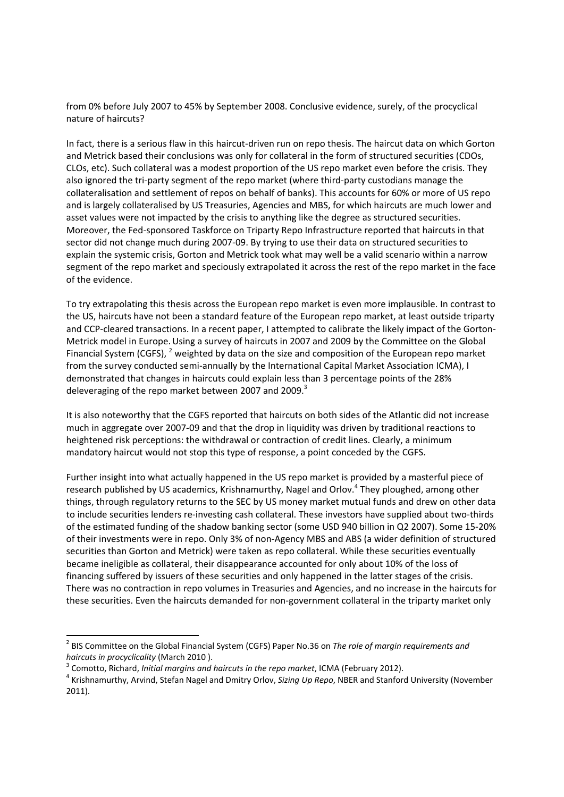from 0% before July 2007 to 45% by September 2008. Conclusive evidence, surely, of the procyclical nature of haircuts?

In fact, there is a serious flaw in this haircut‐driven run on repo thesis. The haircut data on which Gorton and Metrick based their conclusions was only for collateral in the form of structured securities (CDOs, CLOs, etc). Such collateral was a modest proportion of the US repo market even before the crisis. They also ignored the tri-party segment of the repo market (where third-party custodians manage the collateralisation and settlement of repos on behalf of banks). This accounts for 60% or more of US repo and is largely collateralised by US Treasuries, Agencies and MBS, for which haircuts are much lower and asset values were not impacted by the crisis to anything like the degree as structured securities. Moreover, the Fed‐sponsored Taskforce on Triparty Repo Infrastructure reported that haircuts in that sector did not change much during 2007‐09. By trying to use their data on structured securities to explain the systemic crisis, Gorton and Metrick took what may well be a valid scenario within a narrow segment of the repo market and speciously extrapolated it across the rest of the repo market in the face of the evidence.

To try extrapolating this thesis across the European repo market is even more implausible. In contrast to the US, haircuts have not been a standard feature of the European repo market, at least outside triparty and CCP-cleared transactions. In a recent paper, I attempted to calibrate the likely impact of the Gorton-Metrick model in Europe.Using a survey of haircuts in 2007 and 2009 by the Committee on the Global Financial System (CGFS), <sup>2</sup> weighted by data on the size and composition of the European repo market from the survey conducted semi-annually by the International Capital Market Association ICMA), I demonstrated that changes in haircuts could explain less than 3 percentage points of the 28% deleveraging of the repo market between 2007 and 2009. $3$ 

It is also noteworthy that the CGFS reported that haircuts on both sides of the Atlantic did not increase much in aggregate over 2007‐09 and that the drop in liquidity was driven by traditional reactions to heightened risk perceptions: the withdrawal or contraction of credit lines. Clearly, a minimum mandatory haircut would not stop this type of response, a point conceded by the CGFS.

Further insight into what actually happened in the US repo market is provided by a masterful piece of research published by US academics, Krishnamurthy, Nagel and Orlov.<sup>4</sup> They ploughed, among other things, through regulatory returns to the SEC by US money market mutual funds and drew on other data to include securities lenders re-investing cash collateral. These investors have supplied about two-thirds of the estimated funding of the shadow banking sector (some USD 940 billion in Q2 2007). Some 15‐20% of their investments were in repo. Only 3% of non‐Agency MBS and ABS (a wider definition of structured securities than Gorton and Metrick) were taken as repo collateral. While these securities eventually became ineligible as collateral, their disappearance accounted for only about 10% of the loss of financing suffered by issuers of these securities and only happened in the latter stages of the crisis. There was no contraction in repo volumes in Treasuries and Agencies, and no increase in the haircuts for these securities. Even the haircuts demanded for non‐government collateral in the triparty market only

<sup>2</sup> BIS Committee on the Global Financial System (CGFS) Paper No.36 on *The role of margin requirements and* haircuts in procyclicality (March 2010).<br><sup>3</sup> Comotto, Richard, *Initial margins and haircuts in the repo market*, ICMA (February 2012).<br><sup>4</sup> Krishnamurthy, Arvind, Stefan Nagel and Dmitry Orlov, Sizing Up Repo, NBER and Sta

<sup>2011).</sup>